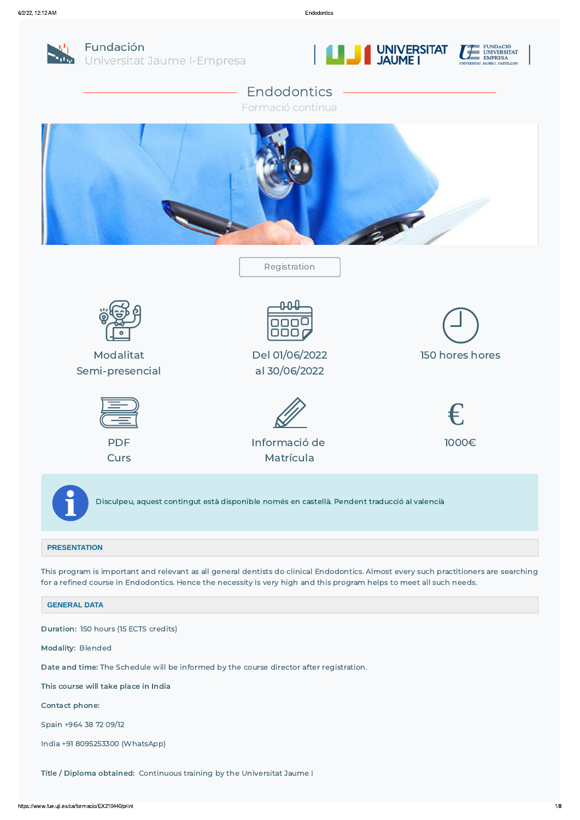

Fundación Universitat Jaume I-Empresa





# Endodontics

Formació continua



Disculpeu, aquest contingut està disponible només en castellà. Pendent traducció al valencià

#### **PRESENTATION**

This program is important and relevant as all general dentists do clinical Endodontics. Almost every such practitioners are searching for a refined course in Endodontics. Hence the necessity is very high and this program helps to meet all such needs.

**GENERAL DATA**

#### Duration: 150 hours (15 ECTS credits)

Modality: Blended

Date and time: The Schedule will be informed by the course director after registration.

This course will take place in India

Contact phone:

Spain +964 38 72 09/12

India +91 8095253300 (WhatsApp)

Title / Diploma obtained: Continuous training by the Universitat Jaume I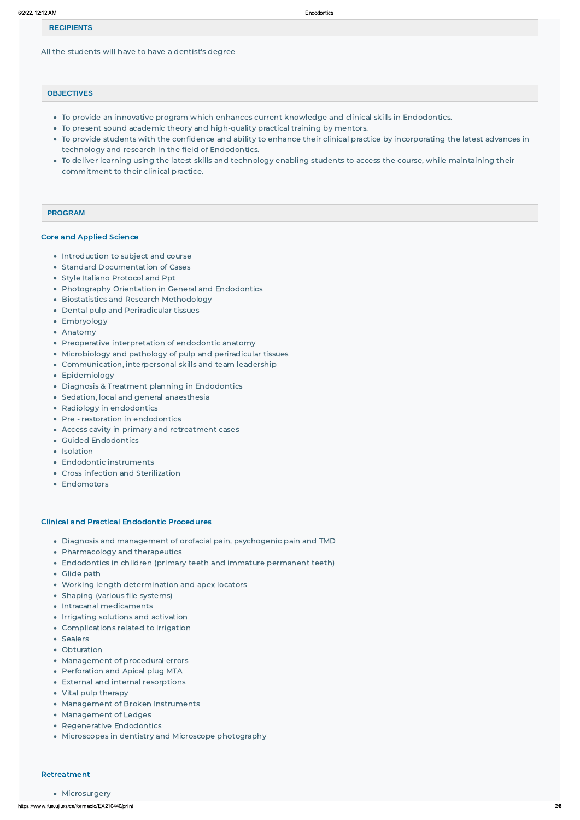#### **RECIPIENTS**

All the students will have to have a dentist's degree

#### **OBJECTIVES**

- To provide an innovative program which enhances current knowledge and clinical skills in Endodontics.
- To present sound academic theory and high-quality practical training by mentors.
- To provide students with the confidence and ability to enhance their clinical practice by incorporating the latest advances in technology and research in the field of Endodontics.
- To deliver learning using the latest skills and technology enabling students to access the course, while maintaining their commitment to their clinical practice.

#### **PROGRAM**

#### Core and Applied Science

- Introduction to subject and course
- Standard Documentation of Cases
- Style Italiano Protocol and Ppt
- Photography Orientation in General and Endodontics
- **Biostatistics and Research Methodology**
- Dental pulp and Periradicular tissues
- Embryology
- Anatomy
- Preoperative interpretation of endodontic anatomy
- Microbiology and pathology of pulp and periradicular tissues
- Communication, interpersonal skills and team leadership
- Epidemiology
- Diagnosis & Treatment planning in Endodontics
- Sedation, local and general anaesthesia
- Radiology in endodontics
- Pre restoration in endodontics
- Access cavity in primary and retreatment cases
- Guided Endodontics
- Isolation
- Endodontic instruments
- Cross infection and Sterilization
- Endomotors

- Diagnosis and management of orofacial pain, psychogenic pain and TMD
- Pharmacology and therapeutics
- Endodontics in children (primary teeth and immature permanent teeth)
- Glide path
- Working length determination and apex locators
- Shaping (various file systems)
- Intracanal medicaments
- Irrigating solutions and activation

#### Clinical and Practical Endodontic Procedures

- 
- Complications related to irrigation
- Sealers
- Obturation
- Management of procedural errors
- Perforation and Apical plug MTA
- External and internal resorptions
- Vital pulp therapy
- Management of Broken Instruments
- Management of Ledges
- Regenerative Endodontics
- Microscopes in dentistry and Microscope photography

#### Retreatment

#### • Microsurgery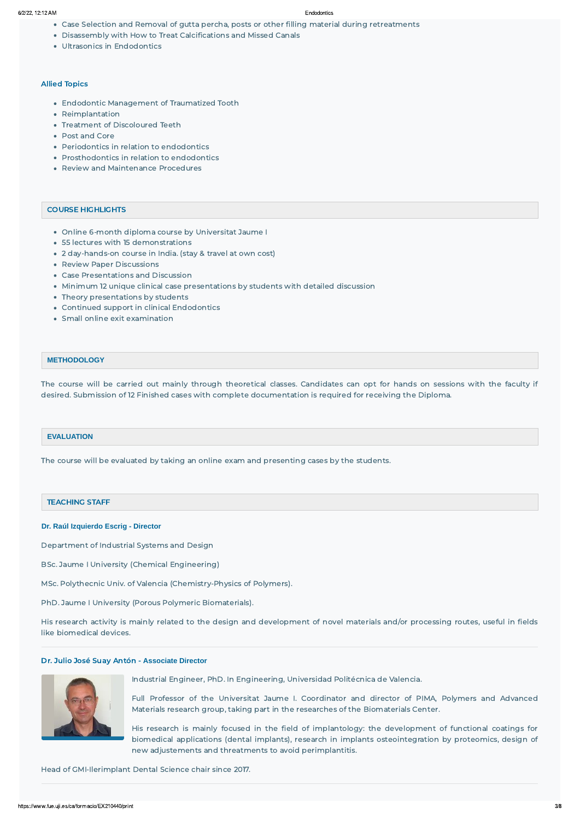- Case Selection and Removal of gutta percha, posts or other filling material during retreatments
- Disassembly with How to Treat Calcifications and Missed Canals
- Ultrasonics in Endodontics

- Online 6-month diploma course by Universitat Jaume I
- 55 lectures with 15 demonstrations
- 2 day-hands-on course in India. (stay & travel at own cost)
- Review Paper Discussions
- Case Presentations and Discussion
- Minimum 12 unique clinical case presentations by students with detailed discussion
- Theory presentations by students
- Continued support in clinical Endodontics
- Small online exit examination

#### Allied Topics

- Endodontic Management of Traumatized Tooth
- Reimplantation
- Treatment of Discoloured Teeth
- Post and Core
- Periodontics in relation to endodontics
- Prosthodontics in relation to endodontics
- Review and Maintenance Procedures

#### COURSE HIGHLIGHTS

#### **METHODOLOGY**

The course will be carried out mainly through theoretical classes. Candidates can opt for hands on sessions with the faculty if desired. Submission of 12 Finished cases with complete documentation is required for receiving the Diploma.

#### **EVALUATION**

The course will be evaluated by taking an online exam and presenting cases by the students.

#### TEACHING STAFF

#### **Dr. Raúl Izquierdo Escrig - Director**

Department of Industrial Systems and Design

BSc. Jaume I University (Chemical Engineering)

MSc. Polythecnic Univ. of Valencia (Chemistry-Physics of Polymers).

PhD. Jaume I University (Porous Polymeric Biomaterials).

His research activity is mainly related to the design and development of novel materials and/or processing routes, useful in fields like biomedical devices.

#### Dr. Julio José Suay Antón - **Associate Director**



Industrial Engineer, PhD. In Engineering, Universidad Politécnica de Valencia.

Full Professor of the Universitat Jaume I. Coordinator and director of PIMA, Polymers and Advanced Materials research group, taking part in the researches of the Biomaterials Center.

His research is mainly focused in the field of implantology: the development of functional coatings for biomedical applications (dental implants), research in implants osteointegration by proteomics, design of new adjustements and threatments to avoid perimplantitis.

#### Head of GMI-Ilerimplant Dental Science chair since 2017.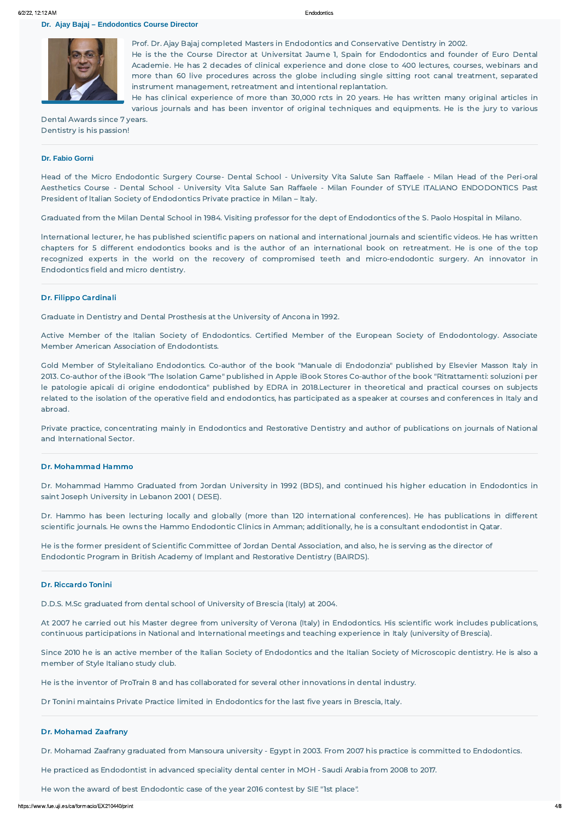**Dr. Ajay Bajaj – Endodontics Course Director** 



Prof. Dr. Ajay Bajaj completed Masters in Endodontics and Conservative Dentistry in 2002. He is the the Course Director at Universitat Jaume 1, Spain for Endodontics and founder of Euro Dental Academie. He has 2 decades of clinical experience and done close to 400 lectures, courses, webinars and more than 60 live procedures across the globe including single sitting root canal treatment, separated instrument management, retreatment and intentional replantation.

He has clinical experience of more than 30,000 rcts in 20 years. He has written many original articles in various journals and has been inventor of original techniques and equipments. He is the jury to various

Dental Awards since 7 years. Dentistry is his passion!

#### **Dr. Fabio Gorni**

Head of the Micro Endodontic Surgery Course- Dental School - University Vita Salute San Raffaele - Milan Head of the Peri-oral Aesthetics Course - Dental School - University Vita Salute San Raffaele - Milan Founder of STYLE ITALIANO ENDODONTICS Past President of ltalian Society of Endodontics Private practice in Milan – ltaly.

Graduated from the Milan Dental School in 1984. Visiting professor for the dept of Endodontics of the S. Paolo Hospital in Milano.

lnternational lecturer, he has published scientific papers on national and international journals and scientific videos. He has written chapters for 5 different endodontics books and is the author of an international book on retreatment. He is one of the top recognized experts in the world on the recovery of compromised teeth and micro-endodontic surgery. An innovator in Endodontics field and micro dentistry.

#### Dr. Filippo Cardinali

Graduate in Dentistry and Dental Prosthesis at the University of Ancona in 1992.

Active Member of the Italian Society of Endodontics. Certified Member of the European Society of Endodontology. Associate Member American Association of Endodontists.

Gold Member of Styleitaliano Endodontics. Co-author of the book "Manuale di Endodonzia" published by Elsevier Masson Italy in 2013. Co-author of the iBook "The Isolation Game" published in Apple iBook Stores Co-author of the book "Ritrattamenti: soluzioni per le patologie apicali di origine endodontica" published by EDRA in 2018.Lecturer in theoretical and practical courses on subjects related to the isolation of the operative field and endodontics, has participated as a speaker at courses and conferences in Italy and abroad.

Private practice, concentrating mainly in Endodontics and Restorative Dentistry and author of publications on journals of National and International Sector.

#### Dr. Mohammad Hammo

Dr. Mohammad Hammo Graduated from Jordan University in 1992 (BDS), and continued his higher education in Endodontics in saint Joseph University in Lebanon 2001 ( DESE).

Dr. Hammo has been lecturing locally and globally (more than 120 international conferences). He has publications in different scientific journals. He owns the Hammo Endodontic Clinics in Amman; additionally, he is a consultant endodontist in Qatar.

He is the former president of Scientific Committee of Jordan Dental Association, and also, he is serving as the director of Endodontic Program in British Academy of Implant and Restorative Dentistry (BAIRDS).

#### Dr. Riccardo Tonini

D.D.S. M.Sc graduated from dental school of University of Brescia (Italy) at 2004.

At 2007 he carried out his Master degree from university of Verona (Italy) in Endodontics. His scientific work includes publications, continuous participations in National and International meetings and teaching experience in Italy (university of Brescia).

Since 2010 he is an active member of the Italian Society of Endodontics and the Italian Society of Microscopic dentistry. He is also a member of Style Italiano study club.

He is the inventor of ProTrain 8 and has collaborated for several other innovations in dental industry.

Dr Tonini maintains Private Practice limited in Endodontics for the last five years in Brescia, Italy.

#### Dr. Mohamad Zaafrany

Dr. Mohamad Zaafrany graduated from Mansoura university - Egypt in 2003. From 2007 his practice is committed to Endodontics.

He practiced as Endodontist in advanced speciality dental center in MOH - Saudi Arabia from 2008 to 2017.

He won the award of best Endodontic case of the year 2016 contest by SIE "1st place".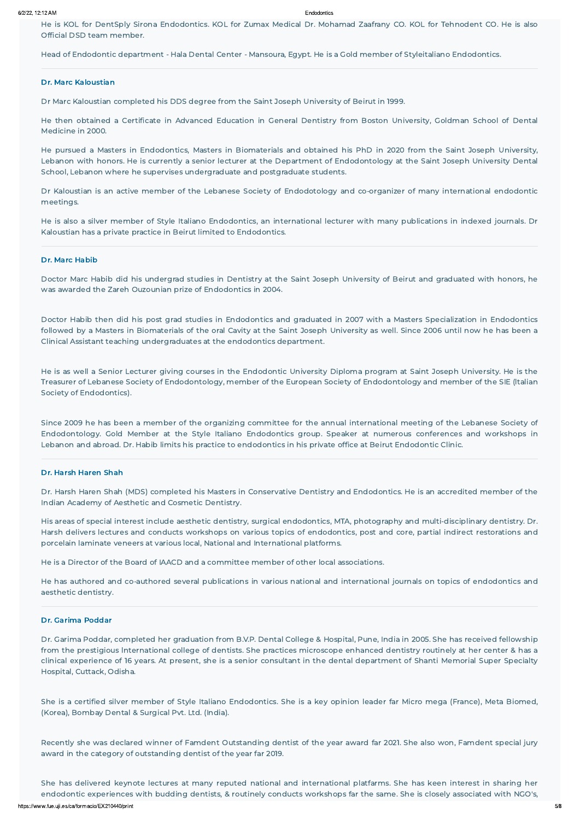He is KOL for DentSply Sirona Endodontics. KOL for Zumax Medical Dr. Mohamad Zaafrany CO. KOL for Tehnodent CO. He is also Official DSD team member.

Head of Endodontic department - Hala Dental Center - Mansoura, Egypt. He is a Gold member of Styleitaliano Endodontics.

#### Dr. Marc Kaloustian

Dr Marc Kaloustian completed his DDS degree from the Saint Joseph University of Beirut in 1999.

He then obtained a Certificate in Advanced Education in General Dentistry from Boston University, Goldman School of Dental Medicine in 2000.

He pursued a Masters in Endodontics, Masters in Biomaterials and obtained his PhD in 2020 from the Saint Joseph University, Lebanon with honors. He is currently a senior lecturer at the Department of Endodontology at the Saint Joseph University Dental School, Lebanon where he supervises undergraduate and postgraduate students.

Dr Kaloustian is an active member of the Lebanese Society of Endodotology and co-organizer of many international endodontic meetings.

He is also a silver member of Style Italiano Endodontics, an international lecturer with many publications in indexed journals. Dr Kaloustian has a private practice in Beirut limited to Endodontics.

#### Dr. Marc Habib

Doctor Marc Habib did his undergrad studies in Dentistry at the Saint Joseph University of Beirut and graduated with honors, he was awarded the Zareh Ouzounian prize of Endodontics in 2004.

Doctor Habib then did his post grad studies in Endodontics and graduated in 2007 with a Masters Specialization in Endodontics followed by a Masters in Biomaterials of the oral Cavity at the Saint Joseph University as well. Since 2006 until now he has been a Clinical Assistant teaching undergraduates at the endodontics department.

He is as well a Senior Lecturer giving courses in the Endodontic University Diploma program at Saint Joseph University. He is the Treasurer of Lebanese Society of Endodontology, member of the European Society of Endodontology and member of the SIE (ltalian Society of Endodontics).

https://www.fue.uji.es/ca/formacio/EX210440/print 5/8 She has delivered keynote lectures at many reputed national and international platfarms. She has keen interest in sharing her endodontic experiences with budding dentists, & routinely conducts workshops far the same. She is closely associated with NGO's,

Since 2009 he has been a member of the organizing committee for the annual international meeting of the Lebanese Society of Endodontology. Gold Member at the Style Italiano Endodontics group. Speaker at numerous conferences and workshops in Lebanon and abroad. Dr. Habib limits his practice to endodontics in his private office at Beirut Endodontic Clinic.

#### Dr. Harsh Haren Shah

Dr. Harsh Haren Shah (MDS) completed his Masters in Conservative Dentistry and Endodontics. He is an accredited member of the Indian Academy of Aesthetic and Cosmetic Dentistry.

His areas of special interest include aesthetic dentistry, surgical endodontics, MTA, photography and multi-disciplinary dentistry. Dr. Harsh delivers lectures and conducts workshops on various topics of endodontics, post and core, partial indirect restorations and porcelain laminate veneers at various local, National and International platforms.

He is a Director of the Board of IAACD and a committee member of other local associations.

He has authored and co-authored several publications in various national and international journals on topics of endodontics and aesthetic dentistry.

#### Dr. Garima Poddar

Dr. Garima Poddar, completed her graduation from B.V.P. Dental College & Hospital, Pune, India in 2005. She has received fellowship from the prestigious lnternational college of dentists. She practices microscope enhanced dentistry routinely at her center & has a clinical experience of 16 years. At present, she is a senior consultant in the dental department of Shanti Memorial Super Specialty Hospital, Cuttack, Odisha.

She is a certified silver member of Style Italiano Endodontics. She is a key opinion leader far Micro mega (France), Meta Biomed, (Korea), Bombay Dental & Surgical Pvt. Ltd. (India).

Recently she was declared winner of Famdent Outstanding dentist of the year award far 2021. She also won, Famdent special jury award in the category of outstanding dentist of the year far 2019.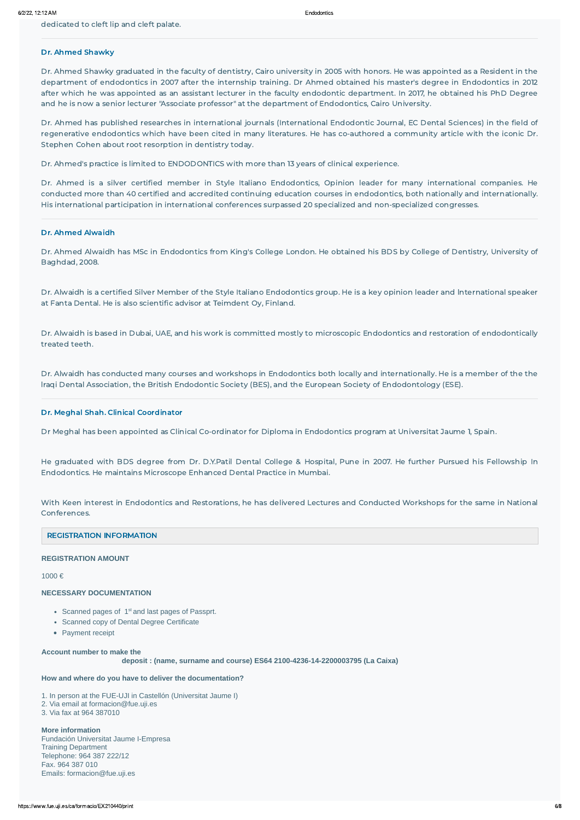dedicated to cleft lip and cleft palate.

### Dr. Ahmed Shawky

Dr. Ahmed Shawky graduated in the faculty of dentistry, Cairo university in 2005 with honors. He was appointed as a Resident in the department of endodontics in 2007 after the internship training. Dr Ahmed obtained his master's degree in Endodontics in 2012 after which he was appointed as an assistant lecturer in the faculty endodontic department. In 2017, he obtained his PhD Degree and he is now a senior lecturer "Associate professor" at the department of Endodontics, Cairo University.

Dr. Ahmed has published researches in international journals (International Endodontic Journal, EC Dental Sciences) in the field of regenerative endodontics which have been cited in many literatures. He has co-authored a community article with the iconic Dr. Stephen Cohen about root resorption in dentistry today.

Dr. Ahmed's practice is limited to ENDODONTICS with more than 13 years of clinical experience.

Dr. Ahmed is a silver certified member in Style Italiano Endodontics, Opinion leader for many international companies. He conducted more than 40 certified and accredited continuing education courses in endodontics, both nationally and internationally. His international participation in international conferences surpassed 20 specialized and non-specialized congresses.

#### Dr. Ahmed Alwaidh

Dr. Ahmed Alwaidh has MSc in Endodontics from King's College London. He obtained his BDS by College of Dentistry, University of Baghdad, 2008.

Dr. Alwaidh is a certified Silver Member of the Style Italiano Endodontics group. He is a key opinion leader and lnternational speaker at Fanta Dental. He is also scientific advisor at Teimdent Oy, Finland.

Dr. Alwaidh is based in Dubai, UAE, and his work is committed mostly to microscopic Endodontics and restoration of endodontically treated teeth.

Dr. Alwaidh has conducted many courses and workshops in Endodontics both locally and internationally. He is a member of the the lraqi Dental Association, the British Endodontic Society (BES), and the European Society of Endodontology (ESE).

#### Dr. Meghal Shah. Clinical Coordinator

Dr Meghal has been appointed as Clinical Co-ordinator for Diploma in Endodontics program at Universitat Jaume 1, Spain.

He graduated with BDS degree from Dr. D.Y.Patil Dental College & Hospital, Pune in 2007. He further Pursued his Fellowship In Endodontics. He maintains Microscope Enhanced Dental Practice in Mumbai.

With Keen interest in Endodontics and Restorations, he has delivered Lectures and Conducted Workshops for the same in National Conferences.

#### REGISTRATION INFORMATION

#### **REGISTRATION AMOUNT**

1000 €

#### **NECESSARY DOCUMENTATION**

- Scanned pages of  $1<sup>st</sup>$  and last pages of Passprt.
- Scanned copy of Dental Degree Certificate
- Payment receipt

**Account number to make the**

 **deposit : (name, surname and course) ES64 2100-4236-14-2200003795 (La Caixa)**

**How and where do you have to deliver the documentation?**

1. In person at the FUE-UJI in Castellón (Universitat Jaume I) 2. Via email at formacion@fue.uji.es 3. Via fax at 964 387010

**More information** Fundación Universitat Jaume I-Empresa Training Department Telephone: 964 387 222/12 Fax. 964 387 010 Emails: formacion@fue.uji.es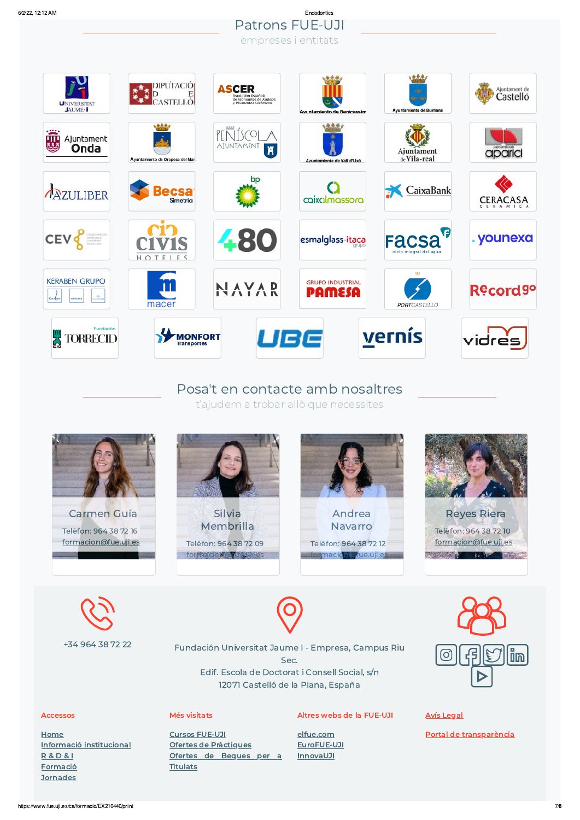**[Jornades](https://www.fue.uji.es/ca/jornades)** 

## 6/2/22, 12:12 AM Endodontics Patrons FUE-UJI empreses i entitats



# Posa't en contacte amb nosaltres t'ajudem a trobar allò que necessites